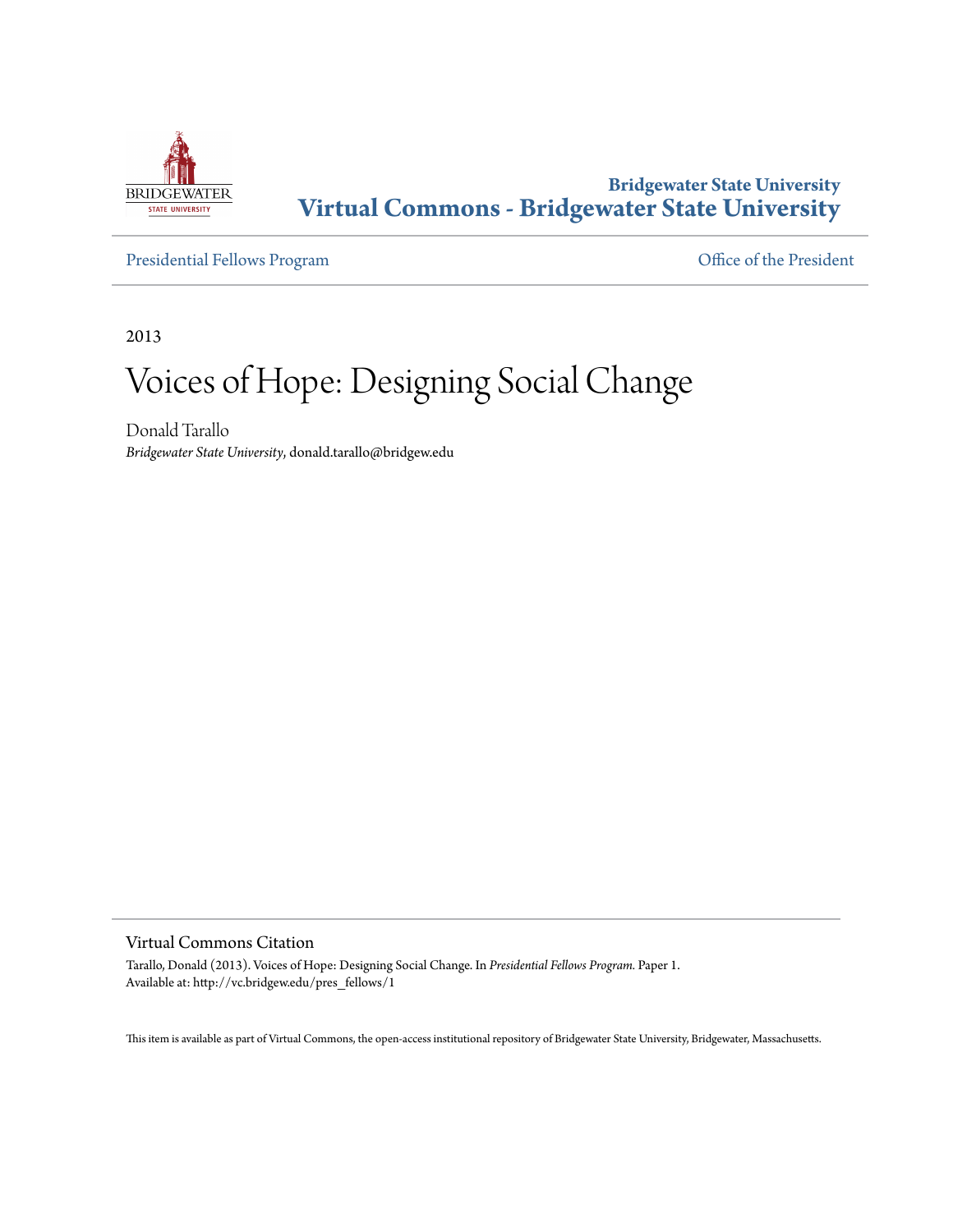

# **Bridgewater State University [Virtual Commons - Bridgewater State University](http://vc.bridgew.edu)**

[Presidential Fellows Program](http://vc.bridgew.edu/pres_fellows) **[Office of the President](http://vc.bridgew.edu/president)** 

2013

# Voices of Hope: Designing Social Change

Donald Tarallo *Bridgewater State University*, donald.tarallo@bridgew.edu

#### Virtual Commons Citation

Tarallo, Donald (2013). Voices of Hope: Designing Social Change. In *Presidential Fellows Program.* Paper 1. Available at: http://vc.bridgew.edu/pres\_fellows/1

This item is available as part of Virtual Commons, the open-access institutional repository of Bridgewater State University, Bridgewater, Massachusetts.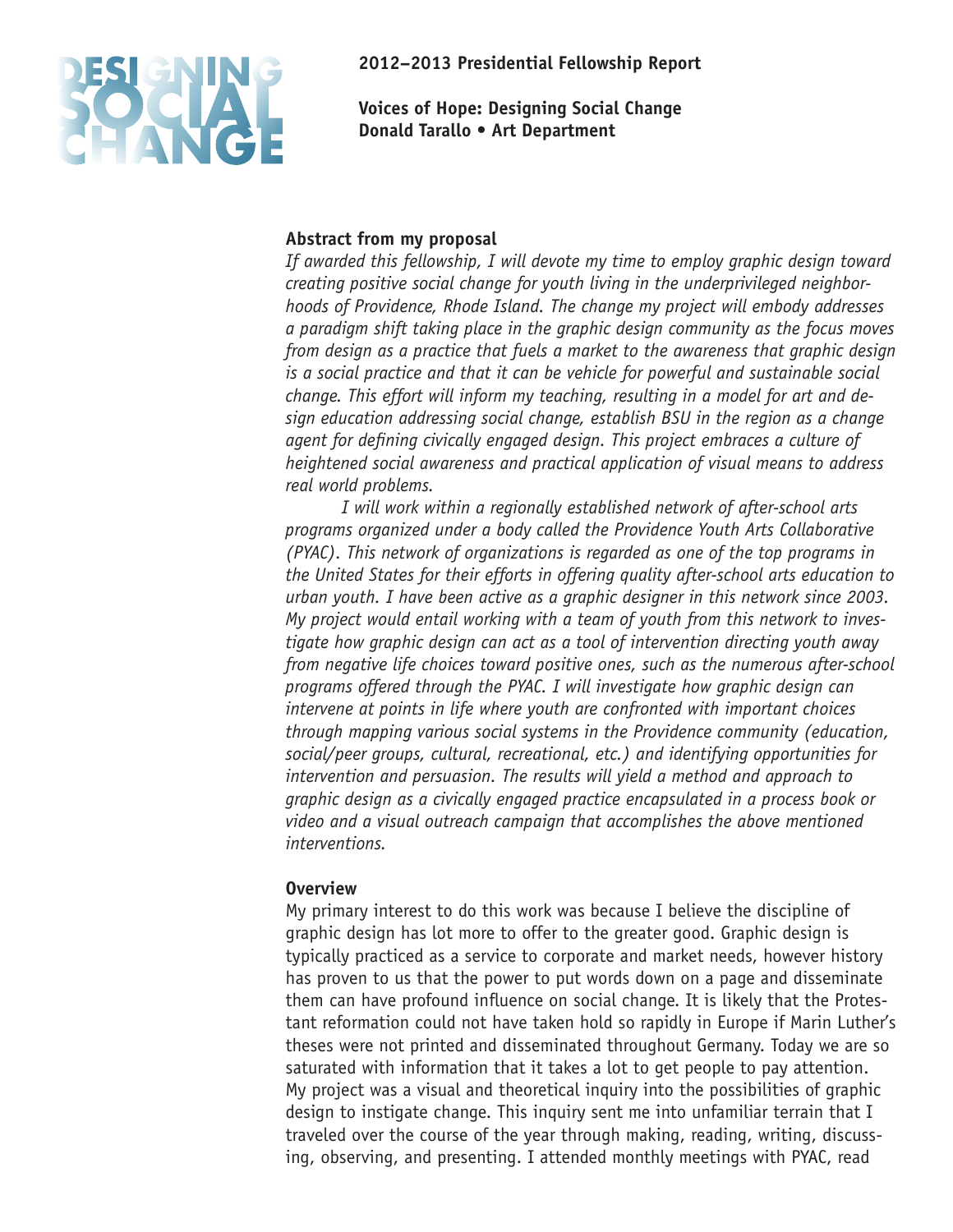**2012–2013 Presidential Fellowship Report**

**Voices of Hope: Designing Social Change Donald Tarallo • Art Department**

# **Abstract from my proposal**

*If awarded this fellowship, I will devote my time to employ graphic design toward creating positive social change for youth living in the underprivileged neighborhoods of Providence, Rhode Island. The change my project will embody addresses a paradigm shift taking place in the graphic design community as the focus moves from design as a practice that fuels a market to the awareness that graphic design is a social practice and that it can be vehicle for powerful and sustainable social change. This effort will inform my teaching, resulting in a model for art and design education addressing social change, establish BSU in the region as a change*  agent for defining civically engaged design. This project embraces a culture of *heightened social awareness and practical application of visual means to address real world problems.*

*I will work within a regionally established network of after-school arts programs organized under a body called the Providence Youth Arts Collaborative (PYAC). This network of organizations is regarded as one of the top programs in the United States for their efforts in offering quality after-school arts education to urban youth. I have been active as a graphic designer in this network since 2003. My project would entail working with a team of youth from this network to investigate how graphic design can act as a tool of intervention directing youth away from negative life choices toward positive ones, such as the numerous after-school programs offered through the PYAC. I will investigate how graphic design can intervene at points in life where youth are confronted with important choices through mapping various social systems in the Providence community (education, social/peer groups, cultural, recreational, etc.) and identifying opportunities for intervention and persuasion. The results will yield a method and approach to graphic design as a civically engaged practice encapsulated in a process book or video and a visual outreach campaign that accomplishes the above mentioned interventions.* 

# **Overview**

My primary interest to do this work was because I believe the discipline of graphic design has lot more to offer to the greater good. Graphic design is typically practiced as a service to corporate and market needs, however history has proven to us that the power to put words down on a page and disseminate them can have profound influence on social change. It is likely that the Protestant reformation could not have taken hold so rapidly in Europe if Marin Luther's theses were not printed and disseminated throughout Germany. Today we are so saturated with information that it takes a lot to get people to pay attention. My project was a visual and theoretical inquiry into the possibilities of graphic design to instigate change. This inquiry sent me into unfamiliar terrain that I traveled over the course of the year through making, reading, writing, discussing, observing, and presenting. I attended monthly meetings with PYAC, read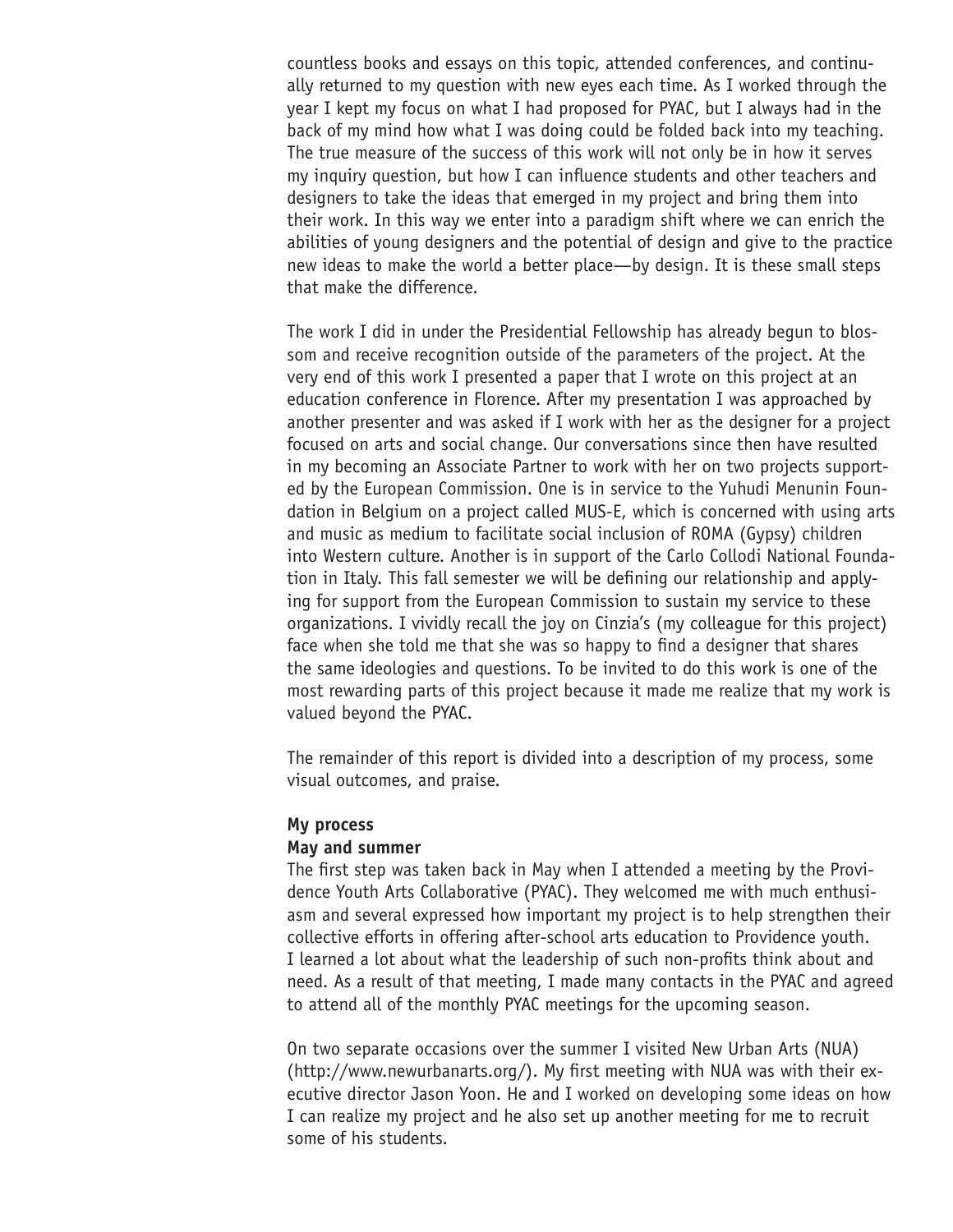countless books and essays on this topic, attended conferences, and continually returned to my question with new eyes each time. As I worked through the year I kept my focus on what I had proposed for PYAC, but I always had in the back of my mind how what I was doing could be folded back into my teaching. The true measure of the success of this work will not only be in how it serves my inquiry question, but how I can influence students and other teachers and designers to take the ideas that emerged in my project and bring them into their work. In this way we enter into a paradigm shift where we can enrich the abilities of young designers and the potential of design and give to the practice new ideas to make the world a better place—by design. It is these small steps that make the difference.

The work I did in under the Presidential Fellowship has already begun to blossom and receive recognition outside of the parameters of the project. At the very end of this work I presented a paper that I wrote on this project at an education conference in Florence. After my presentation I was approached by another presenter and was asked if I work with her as the designer for a project focused on arts and social change. Our conversations since then have resulted in my becoming an Associate Partner to work with her on two projects supported by the European Commission. One is in service to the Yuhudi Menunin Foundation in Belgium on a project called MUS-E, which is concerned with using arts and music as medium to facilitate social inclusion of ROMA (Gypsy) children into Western culture. Another is in support of the Carlo Collodi National Foundation in Italy. This fall semester we will be defining our relationship and applying for support from the European Commission to sustain my service to these organizations. I vividly recall the joy on Cinzia's (my colleague for this project) face when she told me that she was so happy to find a designer that shares the same ideologies and questions. To be invited to do this work is one of the most rewarding parts of this project because it made me realize that my work is valued beyond the PYAC.

The remainder of this report is divided into a description of my process, some visual outcomes, and praise.

#### **My process**

#### **May and summer**

The first step was taken back in May when I attended a meeting by the Providence Youth Arts Collaborative (PYAC). They welcomed me with much enthusiasm and several expressed how important my project is to help strengthen their collective efforts in offering after-school arts education to Providence youth. I learned a lot about what the leadership of such non-profits think about and need. As a result of that meeting, I made many contacts in the PYAC and agreed to attend all of the monthly PYAC meetings for the upcoming season.

On two separate occasions over the summer I visited New Urban Arts (NUA) (http://www.newurbanarts.org/). My first meeting with NUA was with their executive director Jason Yoon. He and I worked on developing some ideas on how I can realize my project and he also set up another meeting for me to recruit some of his students.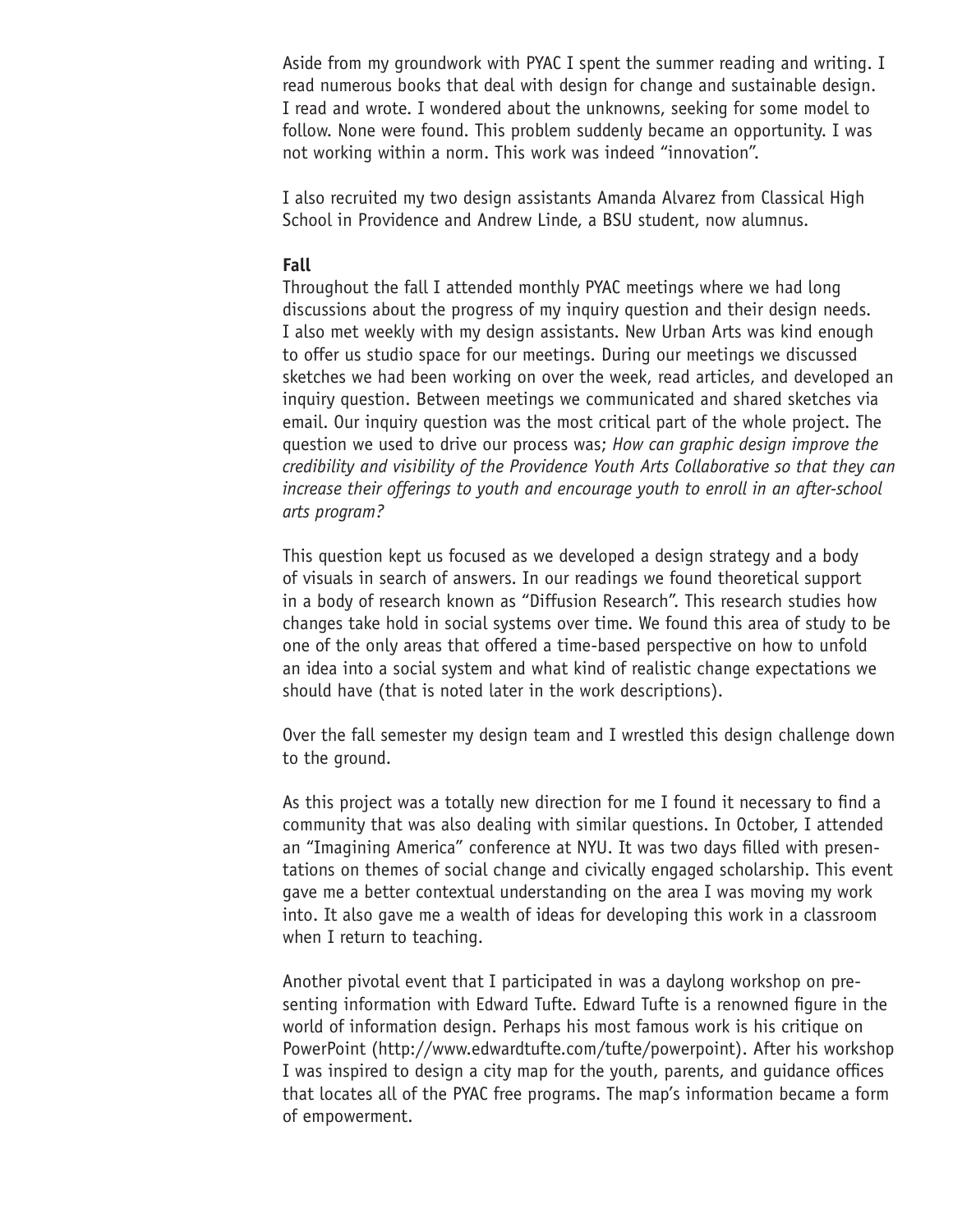Aside from my groundwork with PYAC I spent the summer reading and writing. I read numerous books that deal with design for change and sustainable design. I read and wrote. I wondered about the unknowns, seeking for some model to follow. None were found. This problem suddenly became an opportunity. I was not working within a norm. This work was indeed "innovation".

I also recruited my two design assistants Amanda Alvarez from Classical High School in Providence and Andrew Linde, a BSU student, now alumnus.

### **Fall**

Throughout the fall I attended monthly PYAC meetings where we had long discussions about the progress of my inquiry question and their design needs. I also met weekly with my design assistants. New Urban Arts was kind enough to offer us studio space for our meetings. During our meetings we discussed sketches we had been working on over the week, read articles, and developed an inquiry question. Between meetings we communicated and shared sketches via email. Our inquiry question was the most critical part of the whole project. The question we used to drive our process was; *How can graphic design improve the credibility and visibility of the Providence Youth Arts Collaborative so that they can increase their offerings to youth and encourage youth to enroll in an after-school arts program?*

This question kept us focused as we developed a design strategy and a body of visuals in search of answers. In our readings we found theoretical support in a body of research known as "Diffusion Research". This research studies how changes take hold in social systems over time. We found this area of study to be one of the only areas that offered a time-based perspective on how to unfold an idea into a social system and what kind of realistic change expectations we should have (that is noted later in the work descriptions).

Over the fall semester my design team and I wrestled this design challenge down to the ground.

As this project was a totally new direction for me I found it necessary to find a community that was also dealing with similar questions. In October, I attended an "Imagining America" conference at NYU. It was two days filled with presentations on themes of social change and civically engaged scholarship. This event gave me a better contextual understanding on the area I was moving my work into. It also gave me a wealth of ideas for developing this work in a classroom when I return to teaching.

Another pivotal event that I participated in was a daylong workshop on presenting information with Edward Tufte. Edward Tufte is a renowned figure in the world of information design. Perhaps his most famous work is his critique on PowerPoint (http://www.edwardtufte.com/tufte/powerpoint). After his workshop I was inspired to design a city map for the youth, parents, and guidance offices that locates all of the PYAC free programs. The map's information became a form of empowerment.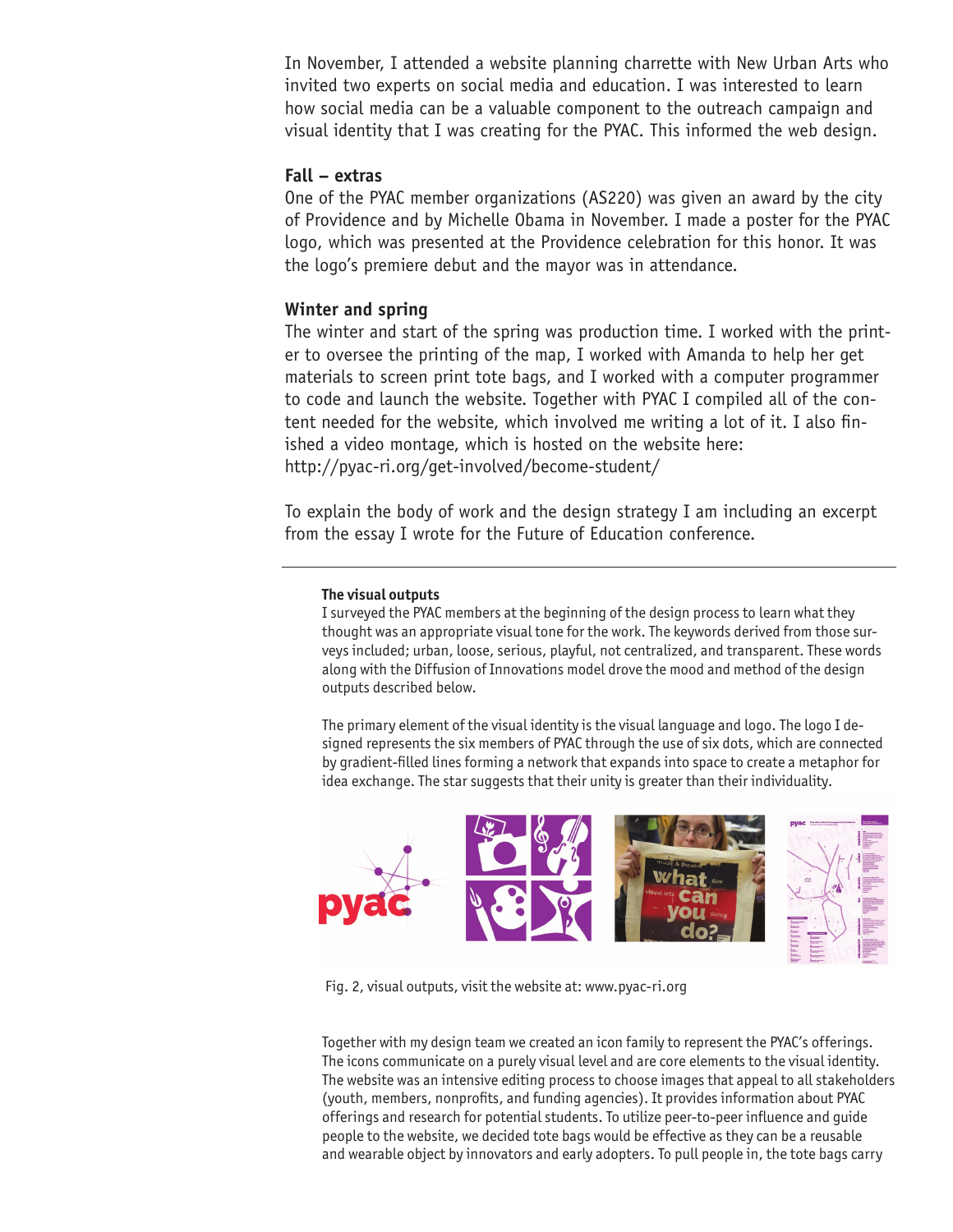In November, I attended a website planning charrette with New Urban Arts who invited two experts on social media and education. I was interested to learn how social media can be a valuable component to the outreach campaign and visual identity that I was creating for the PYAC. This informed the web design.

#### **Fall – extras**

One of the PYAC member organizations (AS220) was given an award by the city of Providence and by Michelle Obama in November. I made a poster for the PYAC logo, which was presented at the Providence celebration for this honor. It was the logo's premiere debut and the mayor was in attendance.

#### **Winter and spring**

The winter and start of the spring was production time. I worked with the printer to oversee the printing of the map, I worked with Amanda to help her get materials to screen print tote bags, and I worked with a computer programmer to code and launch the website. Together with PYAC I compiled all of the content needed for the website, which involved me writing a lot of it. I also finished a video montage, which is hosted on the website here: http://pyac-ri.org/get-involved/become-student/

To explain the body of work and the design strategy I am including an excerpt from the essay I wrote for the Future of Education conference.

#### **The visual outputs**

I surveyed the PYAC members at the beginning of the design process to learn what they thought was an appropriate visual tone for the work. The keywords derived from those surveys included; urban, loose, serious, playful, not centralized, and transparent. These words along with the Diffusion of Innovations model drove the mood and method of the design outputs described below.

The primary element of the visual identity is the visual language and logo. The logo I designed represents the six members of PYAC through the use of six dots, which are connected by gradient-filled lines forming a network that expands into space to create a metaphor for idea exchange. The star suggests that their unity is greater than their individuality.



Fig. 2, visual outputs, visit the website at: www.pyac-ri.org

Together with my design team we created an icon family to represent the PYAC's offerings. The icons communicate on a purely visual level and are core elements to the visual identity. The website was an intensive editing process to choose images that appeal to all stakeholders (youth, members, nonprofits, and funding agencies). It provides information about PYAC offerings and research for potential students. To utilize peer-to-peer influence and guide people to the website, we decided tote bags would be effective as they can be a reusable and wearable object by innovators and early adopters. To pull people in, the tote bags carry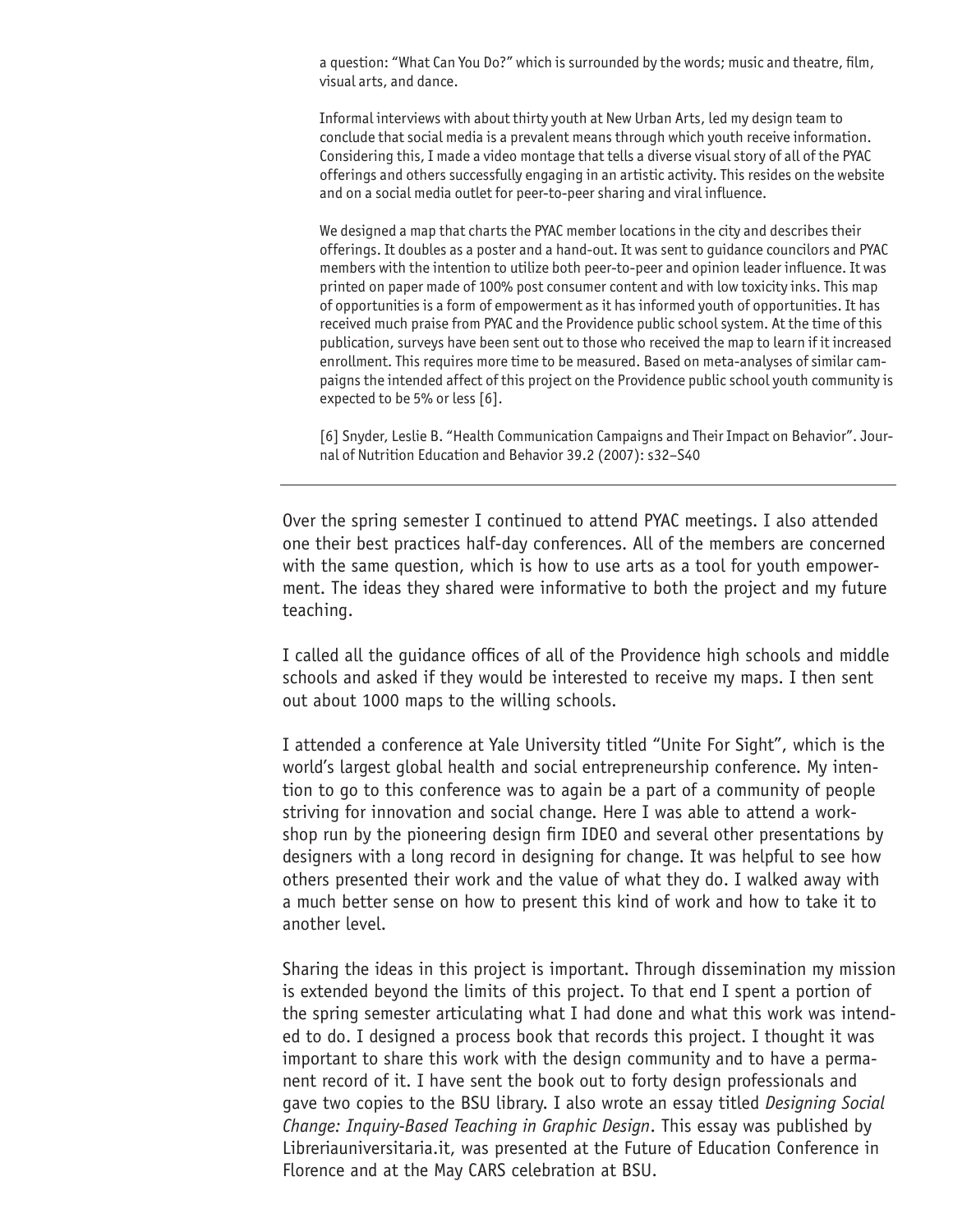a question: "What Can You Do?" which is surrounded by the words; music and theatre, film, visual arts, and dance.

Informal interviews with about thirty youth at New Urban Arts, led my design team to conclude that social media is a prevalent means through which youth receive information. Considering this, I made a video montage that tells a diverse visual story of all of the PYAC offerings and others successfully engaging in an artistic activity. This resides on the website and on a social media outlet for peer-to-peer sharing and viral influence.

We designed a map that charts the PYAC member locations in the city and describes their offerings. It doubles as a poster and a hand-out. It was sent to guidance councilors and PYAC members with the intention to utilize both peer-to-peer and opinion leader influence. It was printed on paper made of 100% post consumer content and with low toxicity inks. This map of opportunities is a form of empowerment as it has informed youth of opportunities. It has received much praise from PYAC and the Providence public school system. At the time of this publication, surveys have been sent out to those who received the map to learn if it increased enrollment. This requires more time to be measured. Based on meta-analyses of similar campaigns the intended affect of this project on the Providence public school youth community is expected to be 5% or less [6].

[6] Snyder, Leslie B. "Health Communication Campaigns and Their Impact on Behavior". Journal of Nutrition Education and Behavior 39.2 (2007): s32–S40

Over the spring semester I continued to attend PYAC meetings. I also attended one their best practices half-day conferences. All of the members are concerned with the same question, which is how to use arts as a tool for youth empowerment. The ideas they shared were informative to both the project and my future teaching.

I called all the guidance offices of all of the Providence high schools and middle schools and asked if they would be interested to receive my maps. I then sent out about 1000 maps to the willing schools.

I attended a conference at Yale University titled "Unite For Sight", which is the world's largest global health and social entrepreneurship conference. My intention to go to this conference was to again be a part of a community of people striving for innovation and social change. Here I was able to attend a workshop run by the pioneering design firm IDEO and several other presentations by designers with a long record in designing for change. It was helpful to see how others presented their work and the value of what they do. I walked away with a much better sense on how to present this kind of work and how to take it to another level.

Sharing the ideas in this project is important. Through dissemination my mission is extended beyond the limits of this project. To that end I spent a portion of the spring semester articulating what I had done and what this work was intended to do. I designed a process book that records this project. I thought it was important to share this work with the design community and to have a permanent record of it. I have sent the book out to forty design professionals and gave two copies to the BSU library. I also wrote an essay titled *Designing Social Change: Inquiry-Based Teaching in Graphic Design*. This essay was published by Libreriauniversitaria.it, was presented at the Future of Education Conference in Florence and at the May CARS celebration at BSU.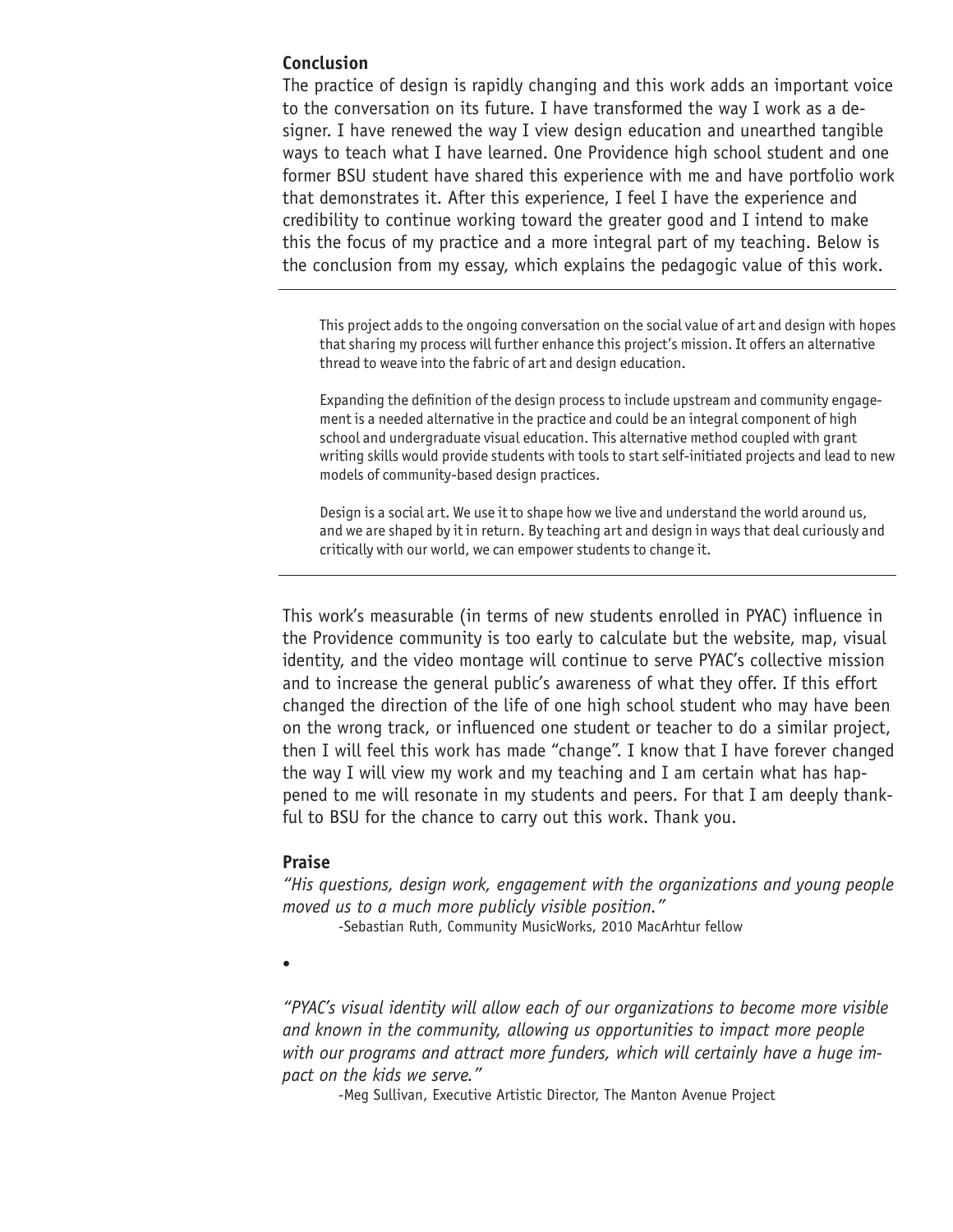#### **Conclusion**

The practice of design is rapidly changing and this work adds an important voice to the conversation on its future. I have transformed the way I work as a designer. I have renewed the way I view design education and unearthed tangible ways to teach what I have learned. One Providence high school student and one former BSU student have shared this experience with me and have portfolio work that demonstrates it. After this experience, I feel I have the experience and credibility to continue working toward the greater good and I intend to make this the focus of my practice and a more integral part of my teaching. Below is the conclusion from my essay, which explains the pedagogic value of this work.

This project adds to the ongoing conversation on the social value of art and design with hopes that sharing my process will further enhance this project's mission. It offers an alternative thread to weave into the fabric of art and design education.

Expanding the definition of the design process to include upstream and community engagement is a needed alternative in the practice and could be an integral component of high school and undergraduate visual education. This alternative method coupled with grant writing skills would provide students with tools to start self-initiated projects and lead to new models of community-based design practices.

Design is a social art. We use it to shape how we live and understand the world around us, and we are shaped by it in return. By teaching art and design in ways that deal curiously and critically with our world, we can empower students to change it.

This work's measurable (in terms of new students enrolled in PYAC) influence in the Providence community is too early to calculate but the website, map, visual identity, and the video montage will continue to serve PYAC's collective mission and to increase the general public's awareness of what they offer. If this effort changed the direction of the life of one high school student who may have been on the wrong track, or influenced one student or teacher to do a similar project, then I will feel this work has made "change". I know that I have forever changed the way I will view my work and my teaching and I am certain what has happened to me will resonate in my students and peers. For that I am deeply thankful to BSU for the chance to carry out this work. Thank you.

#### **Praise**

*"His questions, design work, engagement with the organizations and young people moved us to a much more publicly visible position."*

-Sebastian Ruth, Community MusicWorks, 2010 MacArhtur fellow

•

*"PYAC's visual identity will allow each of our organizations to become more visible and known in the community, allowing us opportunities to impact more people with our programs and attract more funders, which will certainly have a huge impact on the kids we serve."*

-Meg Sullivan, Executive Artistic Director, The Manton Avenue Project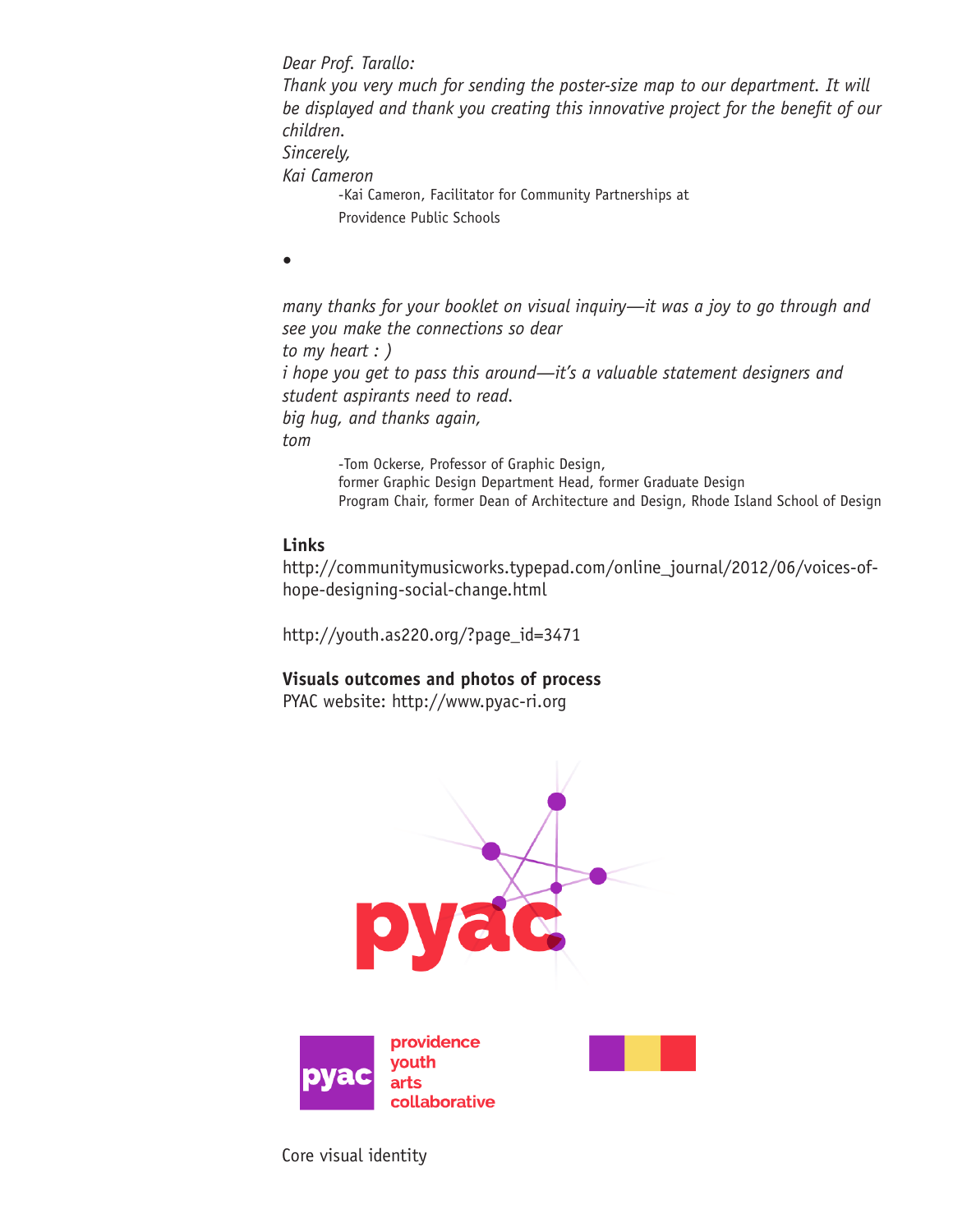*Dear Prof. Tarallo: Thank you very much for sending the poster-size map to our department. It will be displayed and thank you creating this innovative project for the benefit of our children. Sincerely, Kai Cameron* -Kai Cameron, Facilitator for Community Partnerships at Providence Public Schools

•

*many thanks for your booklet on visual inquiry—it was a joy to go through and see you make the connections so dear to my heart : ) i hope you get to pass this around—it's a valuable statement designers and student aspirants need to read. big hug, and thanks again, tom* -Tom Ockerse, Professor of Graphic Design,

former Graphic Design Department Head, former Graduate Design Program Chair, former Dean of Architecture and Design, Rhode Island School of Design

## **Links**

http://communitymusicworks.typepad.com/online\_journal/2012/06/voices-ofhope-designing-social-change.html

http://youth.as220.org/?page\_id=3471

# **Visuals outcomes and photos of process**

PYAC website: http://www.pyac-ri.org



Core visual identity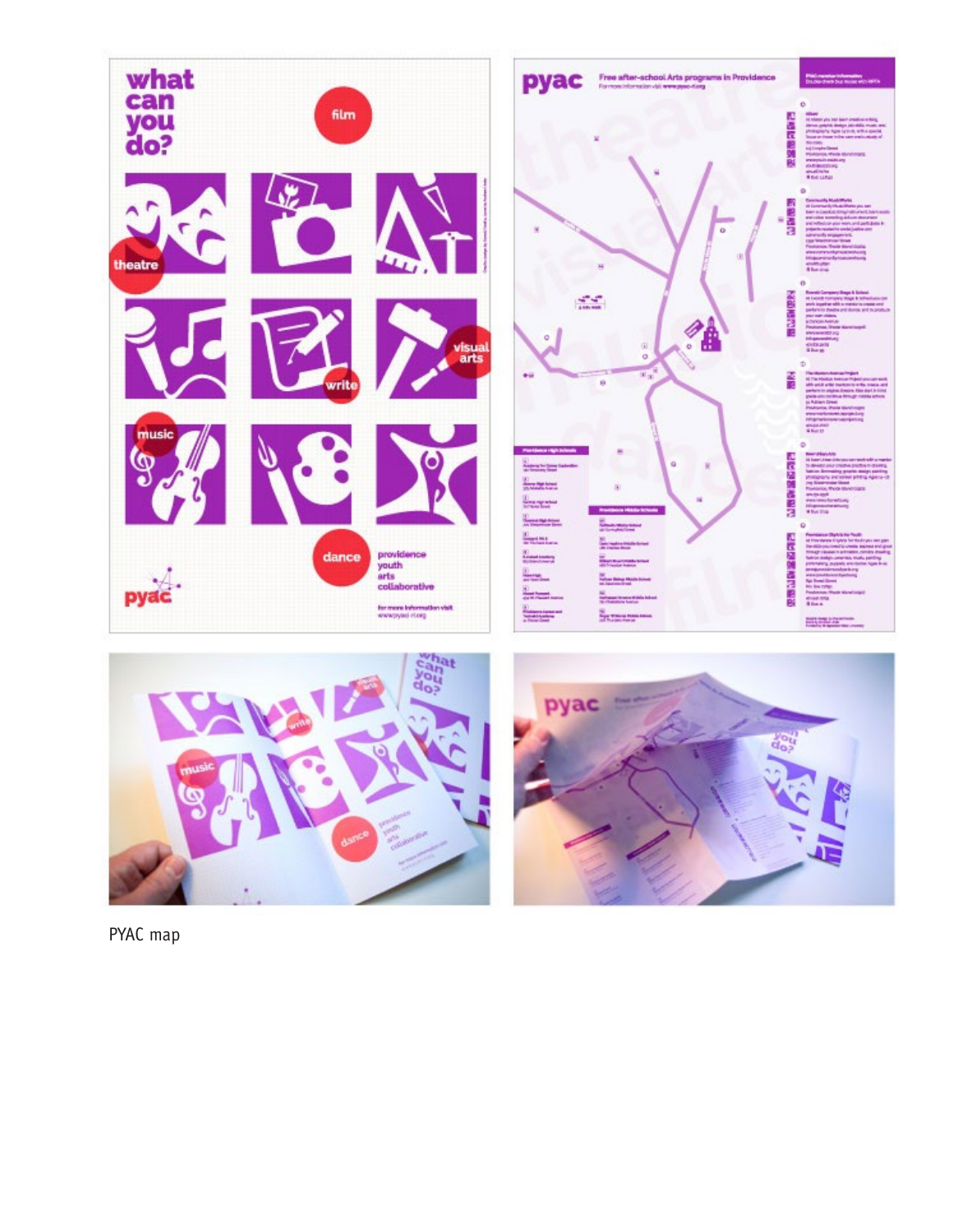

PYAC map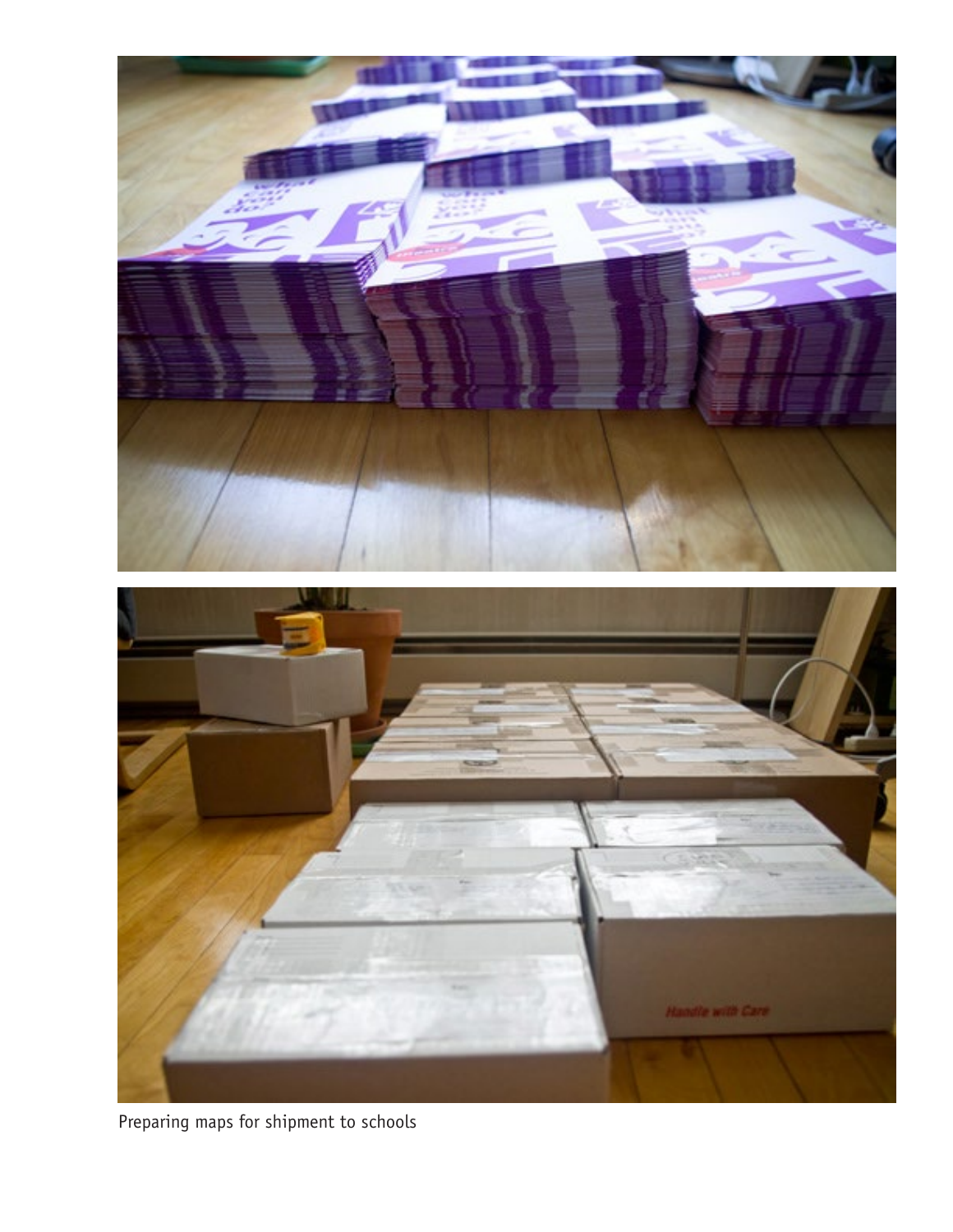

Preparing maps for shipment to schools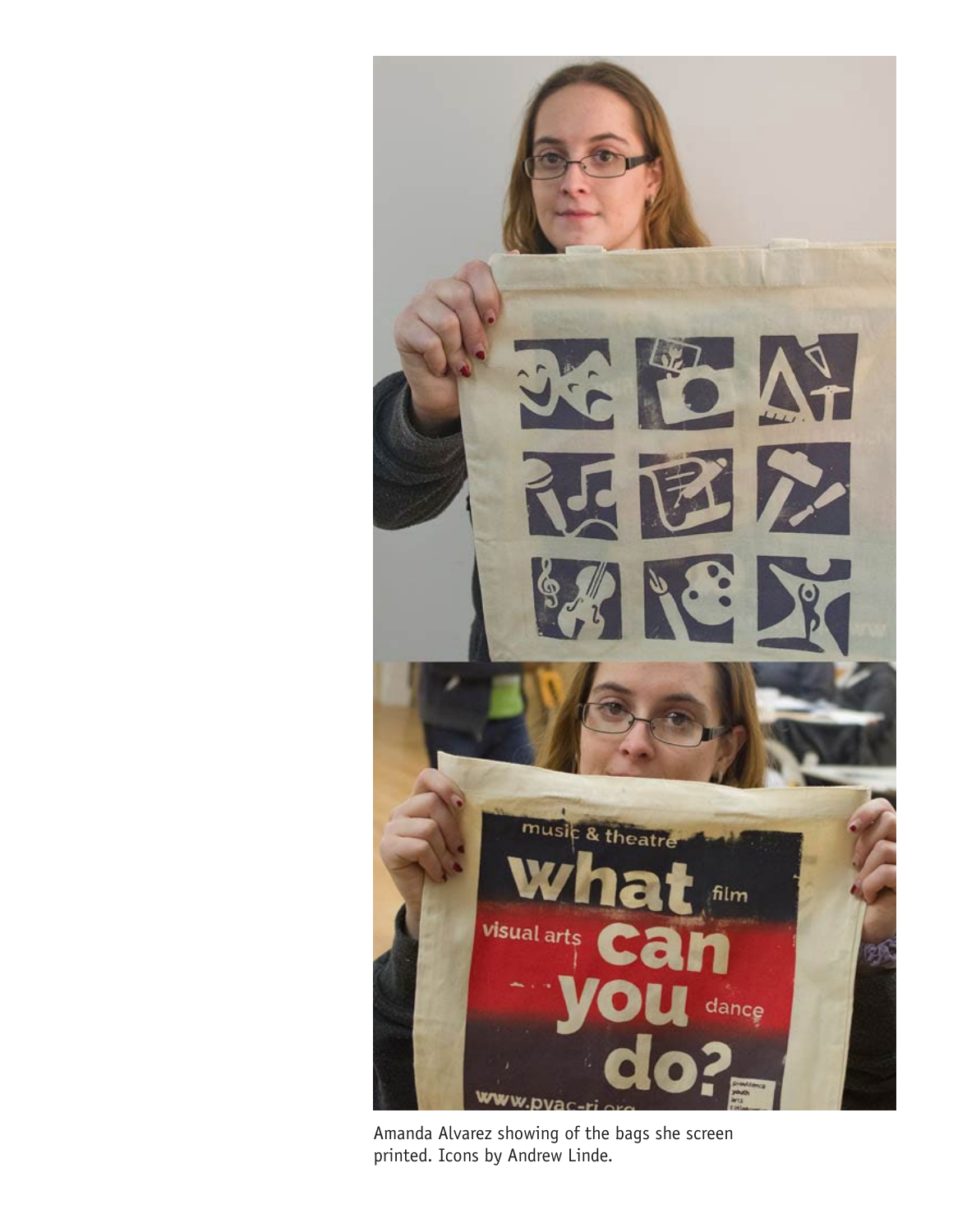

Amanda Alvarez showing of the bags she screen printed. Icons by Andrew Linde.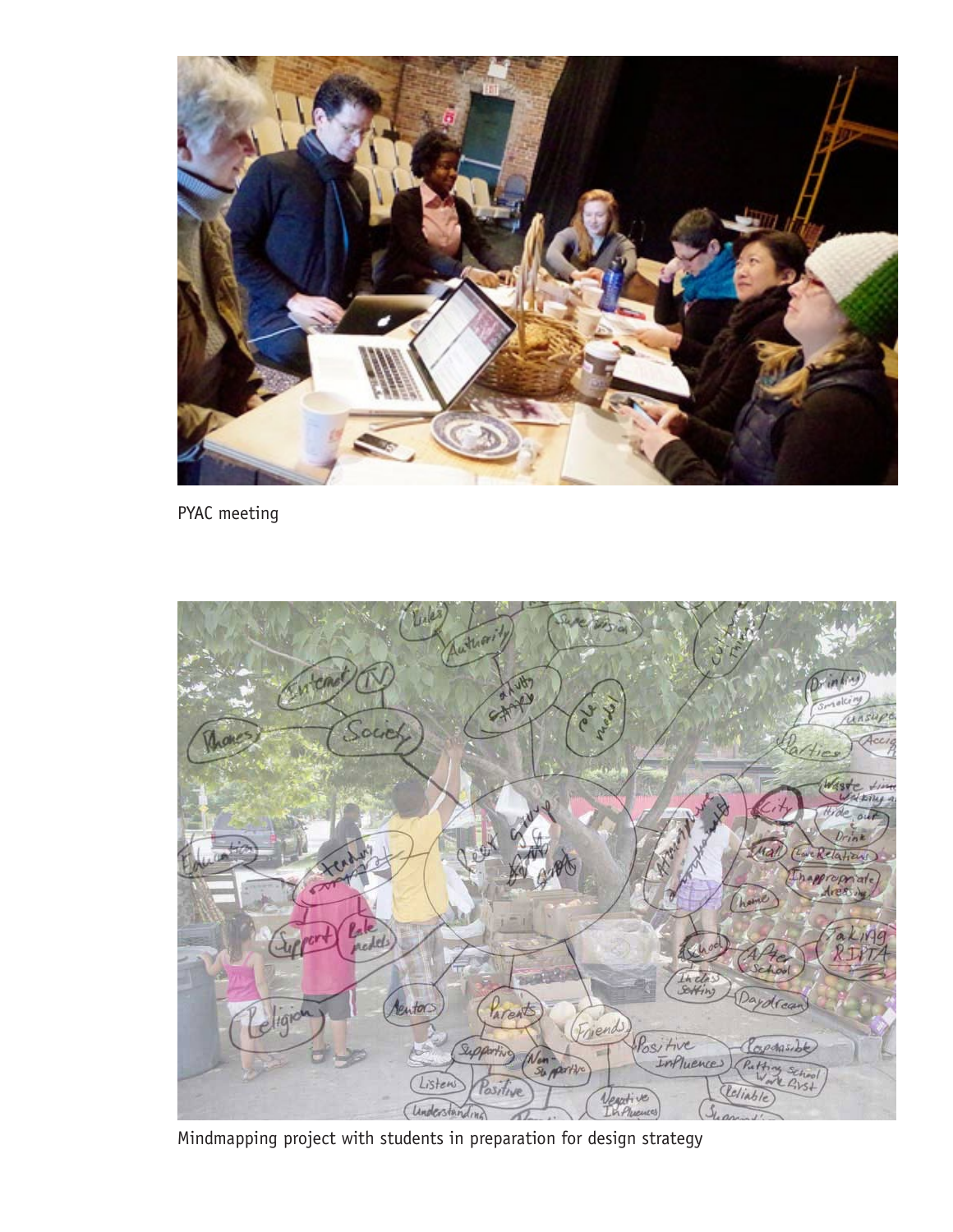

PYAC meeting



Mindmapping project with students in preparation for design strategy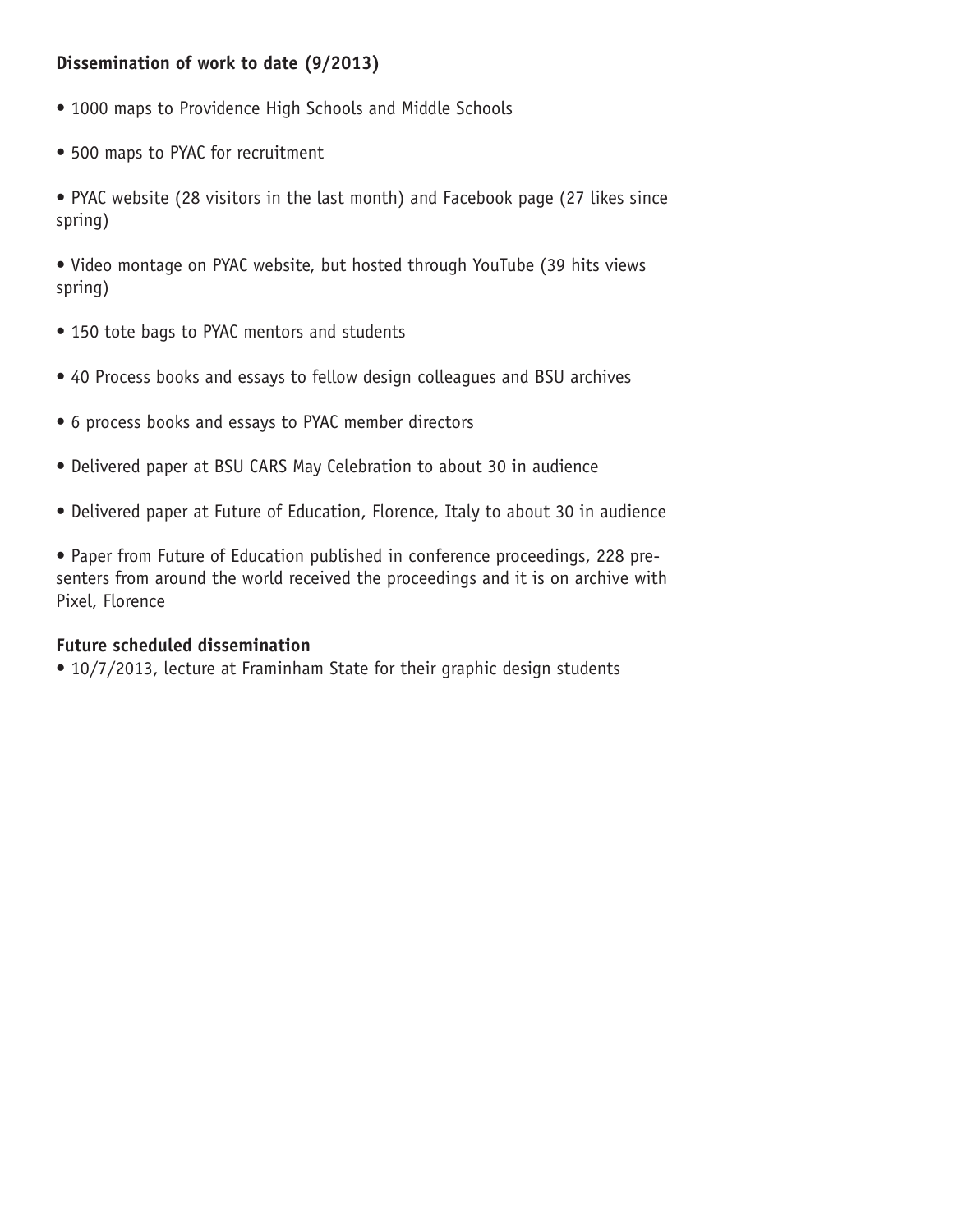# **Dissemination of work to date (9/2013)**

- 1000 maps to Providence High Schools and Middle Schools
- 500 maps to PYAC for recruitment

• PYAC website (28 visitors in the last month) and Facebook page (27 likes since spring)

• Video montage on PYAC website, but hosted through YouTube (39 hits views spring)

- 150 tote bags to PYAC mentors and students
- 40 Process books and essays to fellow design colleagues and BSU archives
- 6 process books and essays to PYAC member directors
- Delivered paper at BSU CARS May Celebration to about 30 in audience
- Delivered paper at Future of Education, Florence, Italy to about 30 in audience

• Paper from Future of Education published in conference proceedings, 228 presenters from around the world received the proceedings and it is on archive with Pixel, Florence

### **Future scheduled dissemination**

• 10/7/2013, lecture at Framinham State for their graphic design students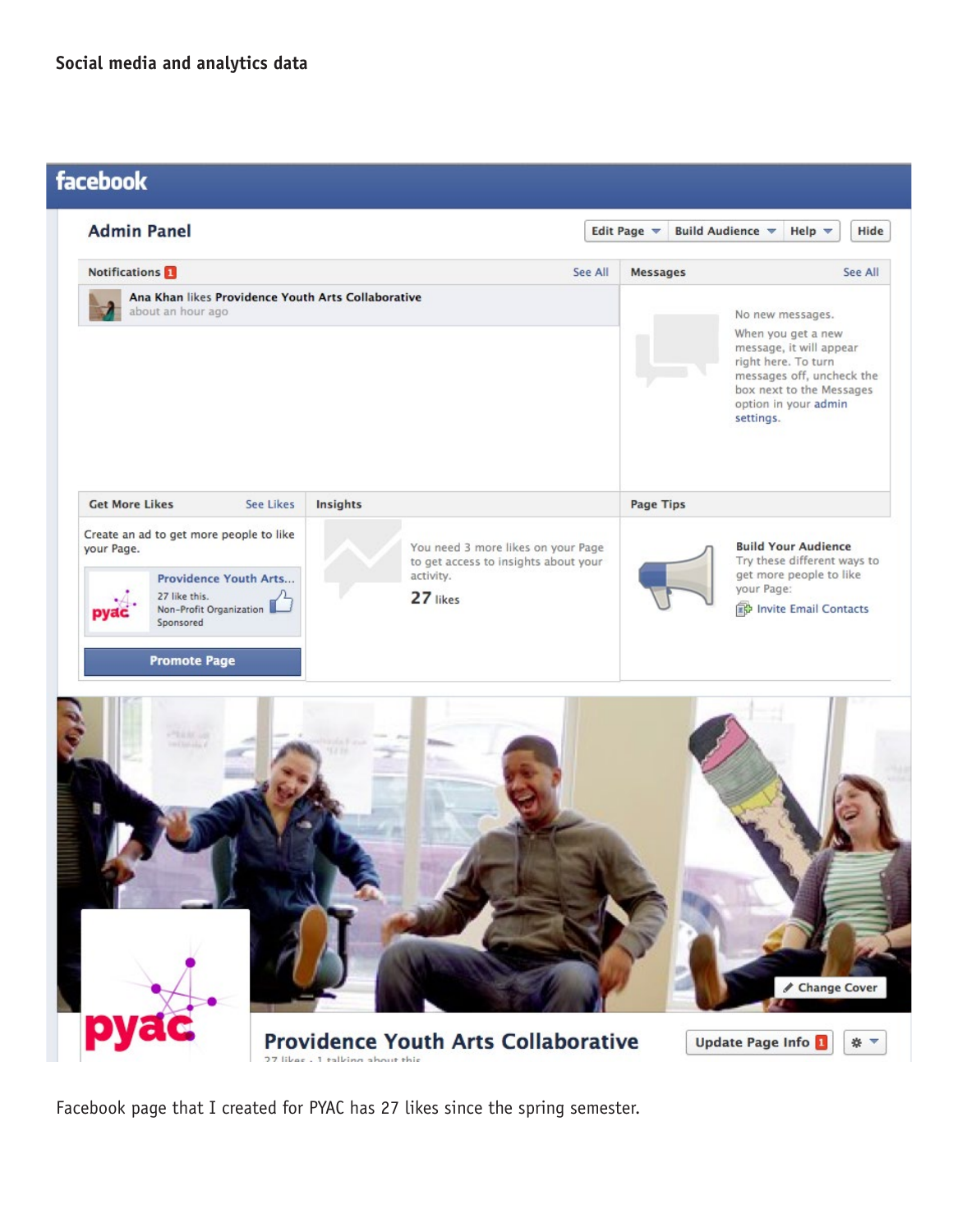

**Providence Youth Arts Collaborative** 27 likes 1 talking about this

Update Page Info L \* \*

Facebook page that I created for PYAC has 27 likes since the spring semester.